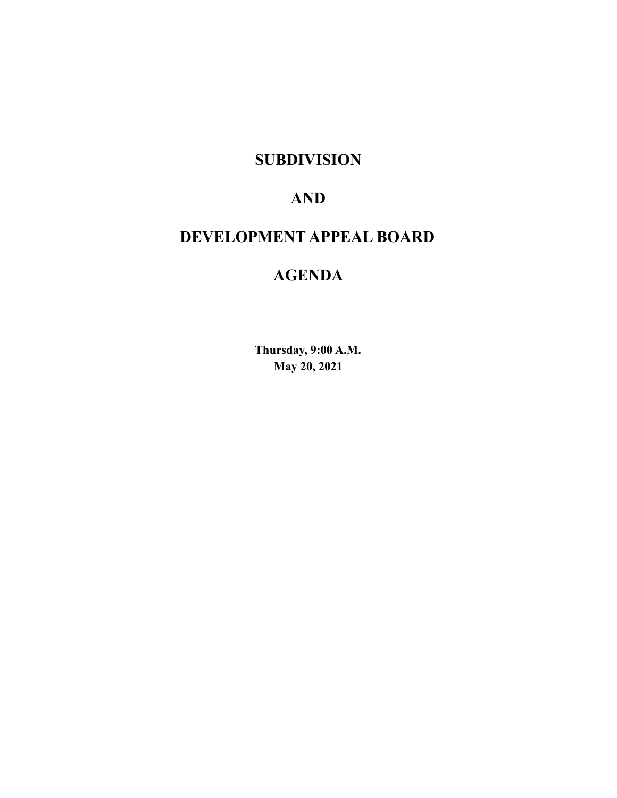# **SUBDIVISION**

# **AND**

# **DEVELOPMENT APPEAL BOARD**

# **AGENDA**

**Thursday, 9:00 A.M. May 20, 2021**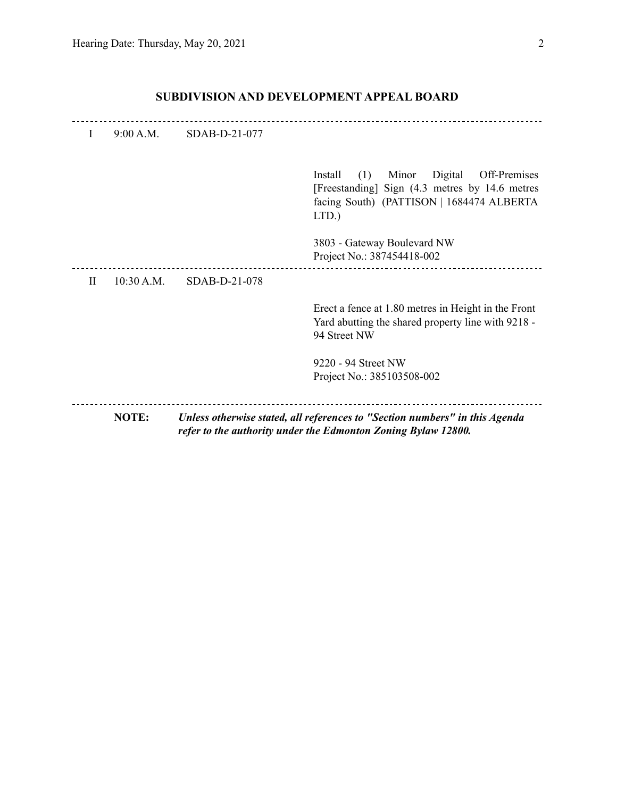| I         | 9:00 A.M.  | SDAB-D-21-077 |                                                                                                                                                            |
|-----------|------------|---------------|------------------------------------------------------------------------------------------------------------------------------------------------------------|
|           |            |               | (1)<br>Digital<br>Off-Premises<br>Install<br>Minor<br>[Freestanding] Sign (4.3 metres by 14.6 metres<br>facing South) (PATTISON   1684474 ALBERTA<br>LTD.) |
|           |            |               | 3803 - Gateway Boulevard NW<br>Project No.: 387454418-002                                                                                                  |
| $\rm{II}$ | 10:30 A.M. | SDAB-D-21-078 |                                                                                                                                                            |
|           |            |               | Erect a fence at 1.80 metres in Height in the Front<br>Yard abutting the shared property line with 9218 -<br>94 Street NW                                  |
|           |            |               | 9220 - 94 Street NW                                                                                                                                        |
|           |            |               | Project No.: 385103508-002                                                                                                                                 |
|           | NOTE:      |               | Unless otherwise stated, all references to "Section numbers" in this Agenda<br>refer to the authority under the Edmonton Zoning Bylaw 12800.               |

## **SUBDIVISION AND DEVELOPMENT APPEAL BOARD**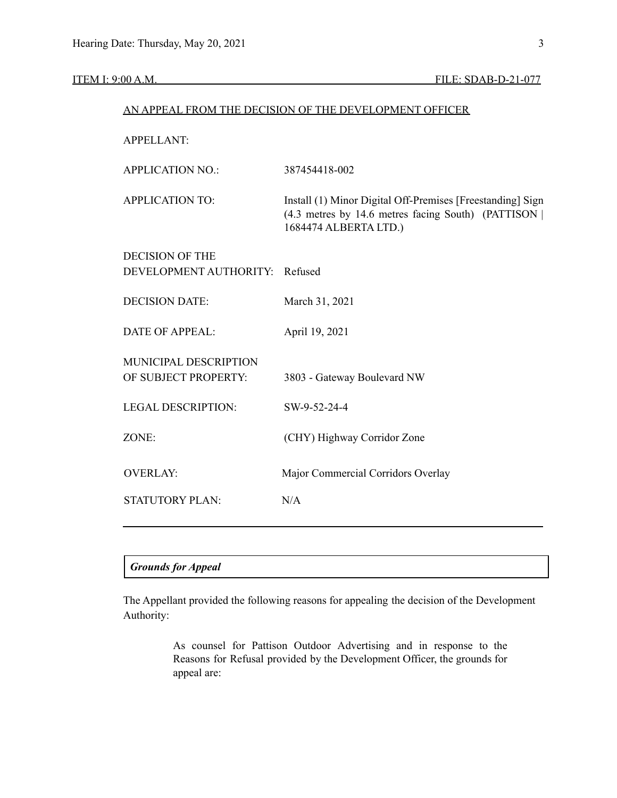| AN APPEAL FROM THE DECISION OF THE DEVELOPMENT OFFICER   |                                                                                                                                             |  |  |  |
|----------------------------------------------------------|---------------------------------------------------------------------------------------------------------------------------------------------|--|--|--|
| <b>APPELLANT:</b>                                        |                                                                                                                                             |  |  |  |
| <b>APPLICATION NO.:</b>                                  | 387454418-002                                                                                                                               |  |  |  |
| <b>APPLICATION TO:</b>                                   | Install (1) Minor Digital Off-Premises [Freestanding] Sign<br>(4.3 metres by 14.6 metres facing South) (PATTISON  <br>1684474 ALBERTA LTD.) |  |  |  |
| <b>DECISION OF THE</b><br>DEVELOPMENT AUTHORITY: Refused |                                                                                                                                             |  |  |  |
| <b>DECISION DATE:</b>                                    | March 31, 2021                                                                                                                              |  |  |  |
| <b>DATE OF APPEAL:</b>                                   | April 19, 2021                                                                                                                              |  |  |  |
| MUNICIPAL DESCRIPTION<br>OF SUBJECT PROPERTY:            | 3803 - Gateway Boulevard NW                                                                                                                 |  |  |  |
| <b>LEGAL DESCRIPTION:</b>                                | SW-9-52-24-4                                                                                                                                |  |  |  |
| ZONE:                                                    | (CHY) Highway Corridor Zone                                                                                                                 |  |  |  |
| <b>OVERLAY:</b>                                          | Major Commercial Corridors Overlay                                                                                                          |  |  |  |
| <b>STATUTORY PLAN:</b>                                   | N/A                                                                                                                                         |  |  |  |
|                                                          |                                                                                                                                             |  |  |  |

# *Grounds for Appeal*

The Appellant provided the following reasons for appealing the decision of the Development Authority:

> As counsel for Pattison Outdoor Advertising and in response to the Reasons for Refusal provided by the Development Officer, the grounds for appeal are: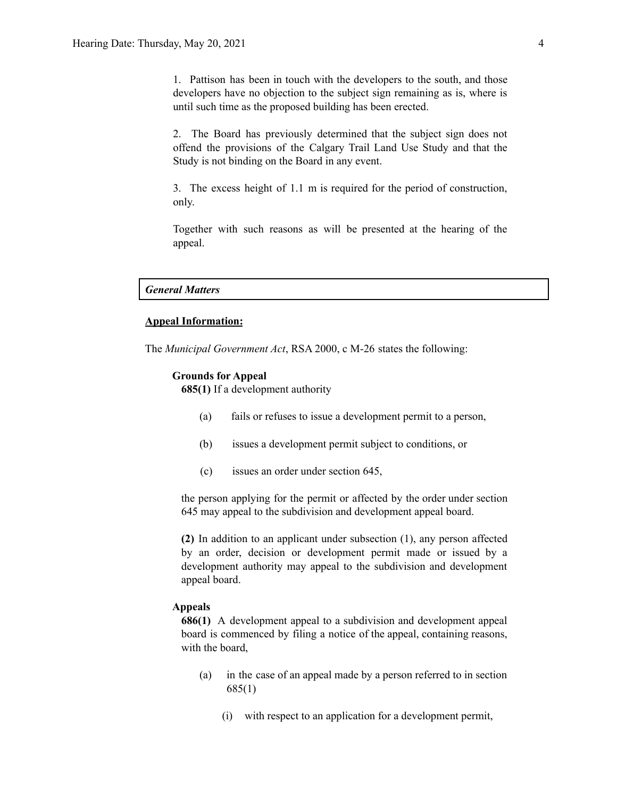1. Pattison has been in touch with the developers to the south, and those developers have no objection to the subject sign remaining as is, where is until such time as the proposed building has been erected.

2. The Board has previously determined that the subject sign does not offend the provisions of the Calgary Trail Land Use Study and that the Study is not binding on the Board in any event.

3. The excess height of 1.1 m is required for the period of construction, only.

Together with such reasons as will be presented at the hearing of the appeal.

#### *General Matters*

#### **Appeal Information:**

The *Municipal Government Act*, RSA 2000, c M-26 states the following:

#### **Grounds for Appeal**

**685(1)** If a development authority

- (a) fails or refuses to issue a development permit to a person,
- (b) issues a development permit subject to conditions, or
- (c) issues an order under section 645,

the person applying for the permit or affected by the order under section 645 may appeal to the subdivision and development appeal board.

**(2)** In addition to an applicant under subsection (1), any person affected by an order, decision or development permit made or issued by a development authority may appeal to the subdivision and development appeal board.

#### **Appeals**

**686(1)** A development appeal to a subdivision and development appeal board is commenced by filing a notice of the appeal, containing reasons, with the board,

- (a) in the case of an appeal made by a person referred to in section 685(1)
	- (i) with respect to an application for a development permit,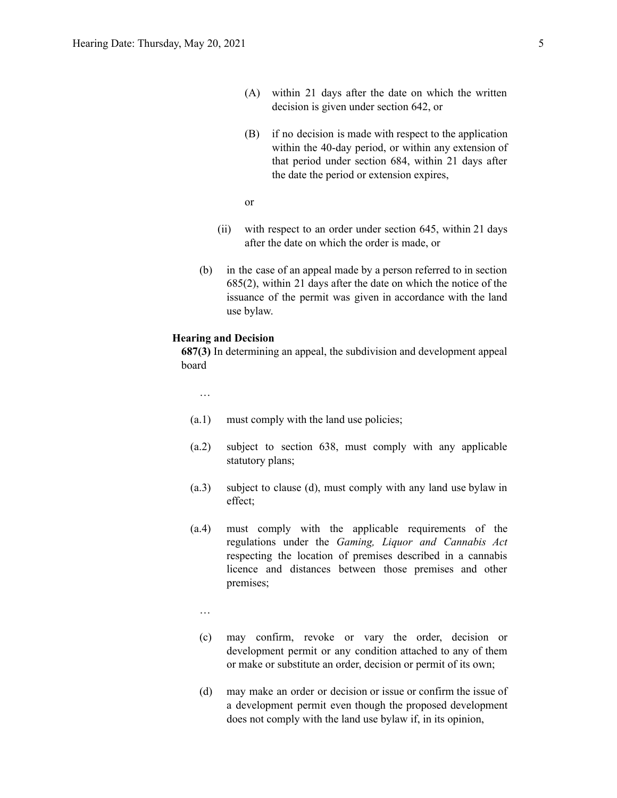- (A) within 21 days after the date on which the written decision is given under section 642, or
- (B) if no decision is made with respect to the application within the 40-day period, or within any extension of that period under section 684, within 21 days after the date the period or extension expires,
- or
- (ii) with respect to an order under section 645, within 21 days after the date on which the order is made, or
- (b) in the case of an appeal made by a person referred to in section 685(2), within 21 days after the date on which the notice of the issuance of the permit was given in accordance with the land use bylaw.

#### **Hearing and Decision**

**687(3)** In determining an appeal, the subdivision and development appeal board

…

- (a.1) must comply with the land use policies;
- (a.2) subject to section 638, must comply with any applicable statutory plans;
- (a.3) subject to clause (d), must comply with any land use bylaw in effect;
- (a.4) must comply with the applicable requirements of the regulations under the *Gaming, Liquor and Cannabis Act* respecting the location of premises described in a cannabis licence and distances between those premises and other premises;
	- …
	- (c) may confirm, revoke or vary the order, decision or development permit or any condition attached to any of them or make or substitute an order, decision or permit of its own;
	- (d) may make an order or decision or issue or confirm the issue of a development permit even though the proposed development does not comply with the land use bylaw if, in its opinion,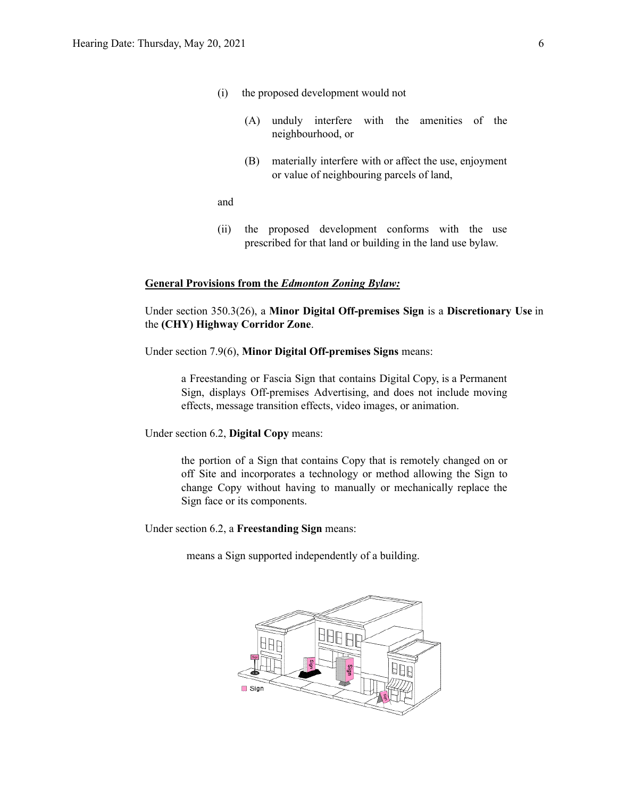- (i) the proposed development would not
	- (A) unduly interfere with the amenities of the neighbourhood, or
	- (B) materially interfere with or affect the use, enjoyment or value of neighbouring parcels of land,

and

(ii) the proposed development conforms with the use prescribed for that land or building in the land use bylaw.

#### **General Provisions from the** *Edmonton Zoning Bylaw:*

Under section 350.3(26), a **Minor Digital Off-premises Sign** is a **Discretionary Use** in the **(CHY) Highway Corridor Zone**.

Under section 7.9(6), **Minor Digital Off-premises Signs** means:

a Freestanding or Fascia Sign that contains Digital Copy, is a Permanent Sign, displays Off-premises Advertising, and does not include moving effects, message transition effects, video images, or animation.

Under section 6.2, **Digital Copy** means:

the portion of a Sign that contains Copy that is remotely changed on or off Site and incorporates a technology or method allowing the Sign to change Copy without having to manually or mechanically replace the Sign face or its components.

Under section 6.2, a **Freestanding Sign** means:

means a Sign supported independently of a building.

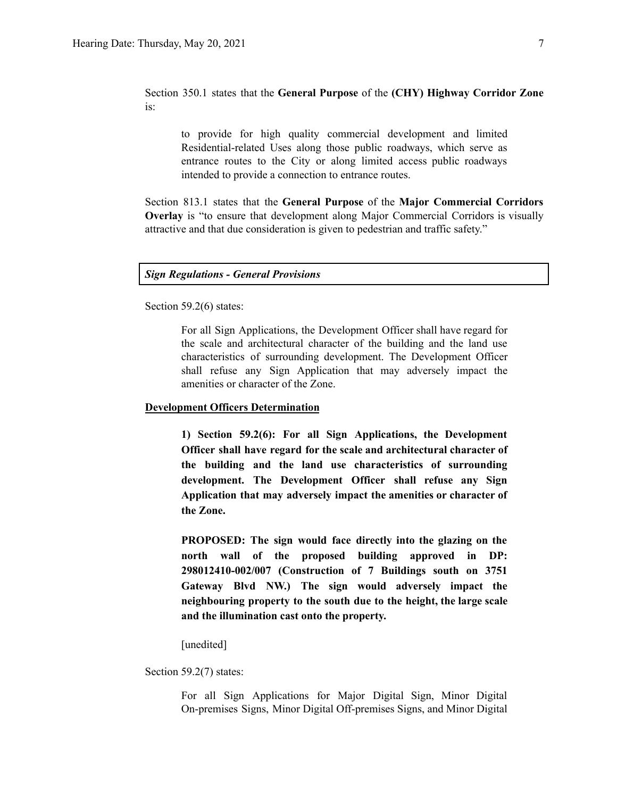### Section 350.1 states that the **General Purpose** of the **(CHY) Highway Corridor Zone** is:

to provide for high quality commercial development and limited Residential-related Uses along those public roadways, which serve as entrance routes to the City or along limited access public roadways intended to provide a connection to entrance routes.

Section 813.1 states that the **General Purpose** of the **Major Commercial Corridors Overlay** is "to ensure that development along Major Commercial Corridors is visually attractive and that due consideration is given to pedestrian and traffic safety."

*Sign Regulations - General Provisions*

Section 59.2(6) states:

For all Sign Applications, the Development Officer shall have regard for the scale and architectural character of the building and the land use characteristics of surrounding development. The Development Officer shall refuse any Sign Application that may adversely impact the amenities or character of the Zone.

#### **Development Officers Determination**

**1) Section 59.2(6): For all Sign Applications, the Development Officer shall have regard for the scale and architectural character of the building and the land use characteristics of surrounding development. The Development Officer shall refuse any Sign Application that may adversely impact the amenities or character of the Zone.**

**PROPOSED: The sign would face directly into the glazing on the north wall of the proposed building approved in DP: 298012410-002/007 (Construction of 7 Buildings south on 3751 Gateway Blvd NW.) The sign would adversely impact the neighbouring property to the south due to the height, the large scale and the illumination cast onto the property.**

[unedited]

Section 59.2(7) states:

For all Sign Applications for Major Digital Sign, Minor Digital On-premises Signs, Minor Digital Off-premises Signs, and Minor Digital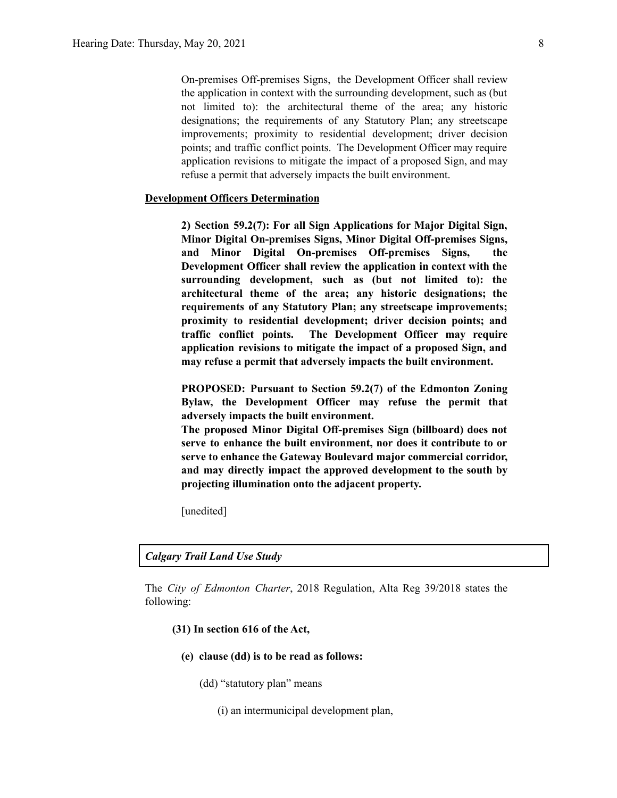On-premises Off-premises Signs, the Development Officer shall review the application in context with the surrounding development, such as (but not limited to): the architectural theme of the area; any historic designations; the requirements of any Statutory Plan; any streetscape improvements; proximity to residential development; driver decision points; and traffic conflict points. The Development Officer may require application revisions to mitigate the impact of a proposed Sign, and may refuse a permit that adversely impacts the built environment.

#### **Development Officers Determination**

**2) Section 59.2(7): For all Sign Applications for Major Digital Sign, Minor Digital On-premises Signs, Minor Digital Off-premises Signs, and Minor Digital On-premises Off-premises Signs, the Development Officer shall review the application in context with the surrounding development, such as (but not limited to): the architectural theme of the area; any historic designations; the requirements of any Statutory Plan; any streetscape improvements; proximity to residential development; driver decision points; and traffic conflict points. The Development Officer may require application revisions to mitigate the impact of a proposed Sign, and may refuse a permit that adversely impacts the built environment.**

**PROPOSED: Pursuant to Section 59.2(7) of the Edmonton Zoning Bylaw, the Development Officer may refuse the permit that adversely impacts the built environment.**

**The proposed Minor Digital Off-premises Sign (billboard) does not serve to enhance the built environment, nor does it contribute to or serve to enhance the Gateway Boulevard major commercial corridor, and may directly impact the approved development to the south by projecting illumination onto the adjacent property.**

[unedited]

#### *Calgary Trail Land Use Study*

The *City of Edmonton Charter*, 2018 Regulation, Alta Reg 39/2018 states the following:

### **(31) In section 616 of the Act,**

- **(e) clause (dd) is to be read as follows:**
	- (dd) "statutory plan" means
		- (i) an intermunicipal development plan,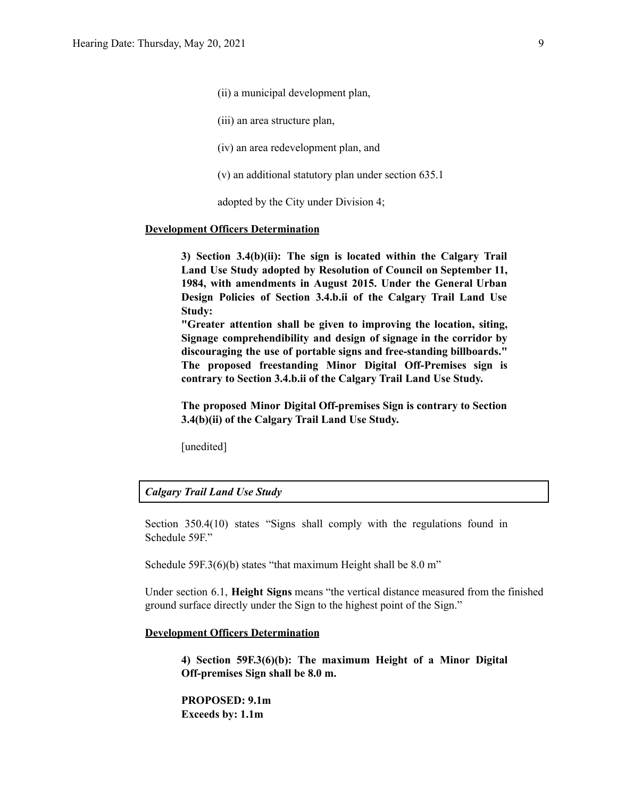(ii) a municipal development plan,

(iii) an area structure plan,

(iv) an area redevelopment plan, and

(v) an additional statutory plan under section 635.1

adopted by the City under Division 4;

#### **Development Officers Determination**

**3) Section 3.4(b)(ii): The sign is located within the Calgary Trail Land Use Study adopted by Resolution of Council on September 11, 1984, with amendments in August 2015. Under the General Urban Design Policies of Section 3.4.b.ii of the Calgary Trail Land Use Study:**

**"Greater attention shall be given to improving the location, siting, Signage comprehendibility and design of signage in the corridor by discouraging the use of portable signs and free-standing billboards." The proposed freestanding Minor Digital Off-Premises sign is contrary to Section 3.4.b.ii of the Calgary Trail Land Use Study.**

**The proposed Minor Digital Off-premises Sign is contrary to Section 3.4(b)(ii) of the Calgary Trail Land Use Study.**

[unedited]

#### *Calgary Trail Land Use Study*

Section 350.4(10) states "Signs shall comply with the regulations found in Schedule 59F."

Schedule 59F.3(6)(b) states "that maximum Height shall be 8.0 m"

Under section 6.1, **Height Signs** means "the vertical distance measured from the finished ground surface directly under the Sign to the highest point of the Sign."

#### **Development Officers Determination**

**4) Section 59F.3(6)(b): The maximum Height of a Minor Digital Off-premises Sign shall be 8.0 m.**

**PROPOSED: 9.1m Exceeds by: 1.1m**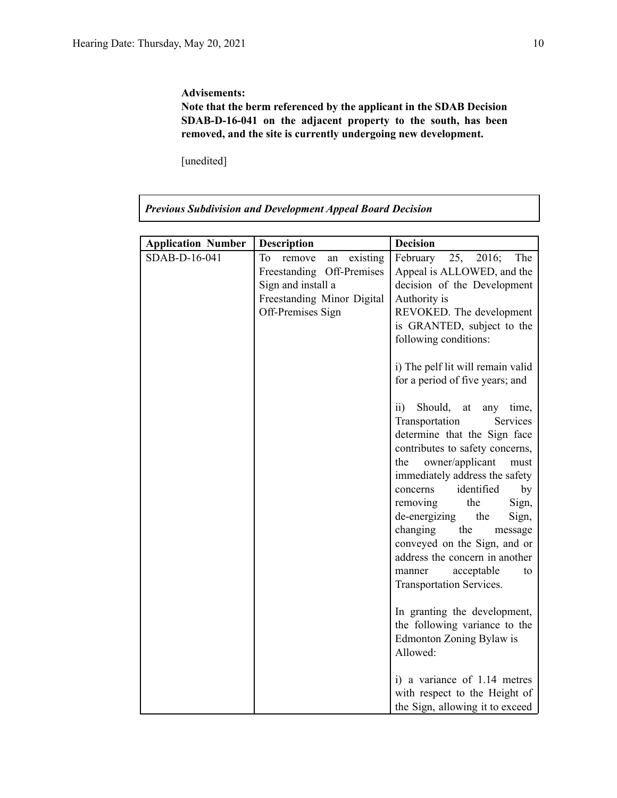#### **Advisements:**

**Note that the berm referenced by the applicant in the SDAB Decision SDAB-D-16-041 on the adjacent property to the south, has been removed, and the site is currently undergoing new development.**

[unedited]

| <b>Previous Subdivision and Development Appeal Board Decision</b> |                                                                                                                                         |                                                                                                                                                                                                                                                                                                                                                                                                                                                                                                                                                                                                                                                                                                                                                                                   |  |  |  |
|-------------------------------------------------------------------|-----------------------------------------------------------------------------------------------------------------------------------------|-----------------------------------------------------------------------------------------------------------------------------------------------------------------------------------------------------------------------------------------------------------------------------------------------------------------------------------------------------------------------------------------------------------------------------------------------------------------------------------------------------------------------------------------------------------------------------------------------------------------------------------------------------------------------------------------------------------------------------------------------------------------------------------|--|--|--|
|                                                                   |                                                                                                                                         |                                                                                                                                                                                                                                                                                                                                                                                                                                                                                                                                                                                                                                                                                                                                                                                   |  |  |  |
| <b>Application Number</b>                                         | <b>Description</b>                                                                                                                      | <b>Decision</b>                                                                                                                                                                                                                                                                                                                                                                                                                                                                                                                                                                                                                                                                                                                                                                   |  |  |  |
| SDAB-D-16-041                                                     | Tо<br>existing<br>remove<br>an<br>Freestanding<br>Off-Premises<br>Sign and install a<br>Freestanding Minor Digital<br>Off-Premises Sign | February<br>25,<br>2016;<br>The<br>Appeal is ALLOWED, and the<br>decision of the Development<br>Authority is<br>REVOKED. The development<br>is GRANTED, subject to the<br>following conditions:<br>i) The pelf lit will remain valid<br>for a period of five years; and<br>$\overline{ii}$<br>Should,<br>at<br>any time,<br>Transportation<br>Services<br>determine that the Sign face<br>contributes to safety concerns,<br>owner/applicant<br>the<br>must<br>immediately address the safety<br>identified<br>by<br>concerns<br>removing<br>the<br>Sign,<br>de-energizing<br>the<br>Sign,<br>changing the<br>message<br>conveyed on the Sign, and or<br>address the concern in another<br>acceptable<br>manner<br>to<br>Transportation Services.<br>In granting the development, |  |  |  |
|                                                                   |                                                                                                                                         | the following variance to the<br>Edmonton Zoning Bylaw is<br>Allowed:<br>i) a variance of 1.14 metres                                                                                                                                                                                                                                                                                                                                                                                                                                                                                                                                                                                                                                                                             |  |  |  |
|                                                                   |                                                                                                                                         | with respect to the Height of<br>the Sign, allowing it to exceed                                                                                                                                                                                                                                                                                                                                                                                                                                                                                                                                                                                                                                                                                                                  |  |  |  |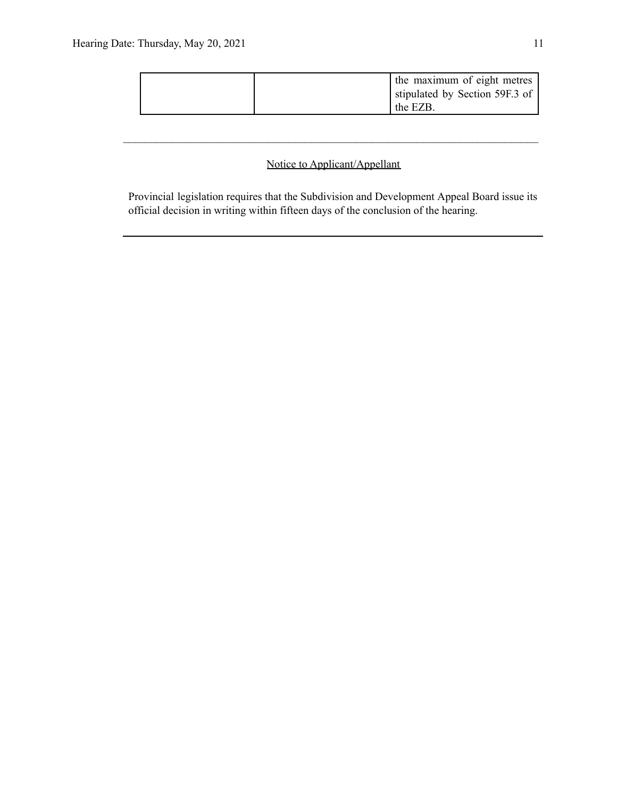|  | the maximum of eight metres    |
|--|--------------------------------|
|  | stipulated by Section 59F.3 of |
|  | the EZB.                       |

# Notice to Applicant/Appellant

 $\mathcal{L}_\text{max} = \frac{1}{2} \sum_{i=1}^n \mathcal{L}_\text{max} = \frac{1}{2} \sum_{i=1}^n \mathcal{L}_\text{max} = \frac{1}{2} \sum_{i=1}^n \mathcal{L}_\text{max} = \frac{1}{2} \sum_{i=1}^n \mathcal{L}_\text{max} = \frac{1}{2} \sum_{i=1}^n \mathcal{L}_\text{max} = \frac{1}{2} \sum_{i=1}^n \mathcal{L}_\text{max} = \frac{1}{2} \sum_{i=1}^n \mathcal{L}_\text{max} = \frac{1}{2} \sum_{i=$ 

Provincial legislation requires that the Subdivision and Development Appeal Board issue its official decision in writing within fifteen days of the conclusion of the hearing.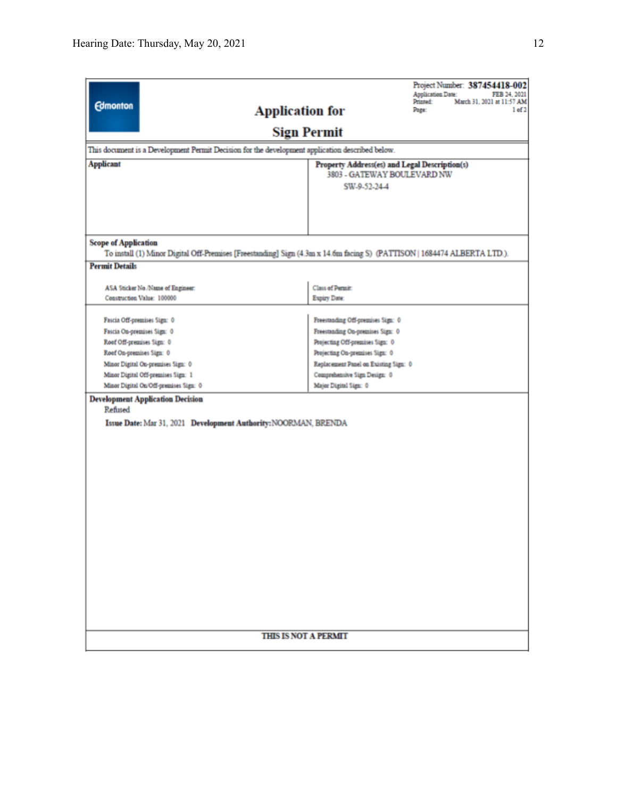|                                                         |                                                                                                                          |                                                                     | Project Number: 387454418-002 |                            |  |  |
|---------------------------------------------------------|--------------------------------------------------------------------------------------------------------------------------|---------------------------------------------------------------------|-------------------------------|----------------------------|--|--|
| <b>Edmonton</b>                                         |                                                                                                                          |                                                                     | Application Date:<br>Printed: | March 31, 2021 at 11:57 AM |  |  |
|                                                         | <b>Application for</b>                                                                                                   |                                                                     | Page:                         | 1 <sub>of</sub> 2          |  |  |
|                                                         | <b>Sign Permit</b>                                                                                                       |                                                                     |                               |                            |  |  |
|                                                         | This document is a Development Permit Decision for the development application described below.                          |                                                                     |                               |                            |  |  |
| <b>Applicant</b>                                        |                                                                                                                          | Property Address(es) and Legal Description(s)                       |                               |                            |  |  |
|                                                         |                                                                                                                          | 3803 - GATEWAY BOULEVARD NW                                         |                               |                            |  |  |
|                                                         |                                                                                                                          | SW-9-52-24-4                                                        |                               |                            |  |  |
|                                                         |                                                                                                                          |                                                                     |                               |                            |  |  |
|                                                         |                                                                                                                          |                                                                     |                               |                            |  |  |
|                                                         |                                                                                                                          |                                                                     |                               |                            |  |  |
| <b>Scope of Application</b>                             |                                                                                                                          |                                                                     |                               |                            |  |  |
|                                                         | To install (1) Minor Digital Off-Premises [Freestanding] Sign (4.3m x 14.6m facing S) (PATTISON   1684474 ALBERTA LTD.). |                                                                     |                               |                            |  |  |
| <b>Permit Details</b>                                   |                                                                                                                          |                                                                     |                               |                            |  |  |
| ASA Sticker No./Name of Engineer:                       |                                                                                                                          | Class of Permit:                                                    |                               |                            |  |  |
| Construction Value: 100000                              |                                                                                                                          | Expiry Date:                                                        |                               |                            |  |  |
|                                                         |                                                                                                                          |                                                                     |                               |                            |  |  |
| Fascia Off-premises Sign: 0                             |                                                                                                                          | Freestanding Off-premises Sign: 0                                   |                               |                            |  |  |
| Fascia On-premises Sign: 0<br>Roof Off-premises Sign: 0 |                                                                                                                          | Freestanding On-premises Sign: 0<br>Projecting Off-premises Sign: 0 |                               |                            |  |  |
| Roof On-premises Sign: 0                                |                                                                                                                          | Projecting On-premises Sign: 0                                      |                               |                            |  |  |
| Minor Digital On-premises Sign: 0                       |                                                                                                                          | Replacement Panel on Existing Sign: 0                               |                               |                            |  |  |
| Minor Digital Off-premises Sign: 1                      |                                                                                                                          | Comprehensive Sign Design: 0                                        |                               |                            |  |  |
| Minor Digital On/Off-premises Sign: 0                   |                                                                                                                          | Major Digital Sign: 0                                               |                               |                            |  |  |
| <b>Development Application Decision</b>                 |                                                                                                                          |                                                                     |                               |                            |  |  |
|                                                         | Refused                                                                                                                  |                                                                     |                               |                            |  |  |
|                                                         | Issue Date: Mar 31, 2021 Development Authority: NOORMAN, BRENDA                                                          |                                                                     |                               |                            |  |  |
|                                                         |                                                                                                                          |                                                                     |                               |                            |  |  |
|                                                         |                                                                                                                          |                                                                     |                               |                            |  |  |
|                                                         |                                                                                                                          |                                                                     |                               |                            |  |  |
|                                                         |                                                                                                                          |                                                                     |                               |                            |  |  |
|                                                         |                                                                                                                          |                                                                     |                               |                            |  |  |
|                                                         |                                                                                                                          |                                                                     |                               |                            |  |  |
|                                                         |                                                                                                                          |                                                                     |                               |                            |  |  |
|                                                         |                                                                                                                          |                                                                     |                               |                            |  |  |
|                                                         |                                                                                                                          |                                                                     |                               |                            |  |  |
|                                                         |                                                                                                                          |                                                                     |                               |                            |  |  |
|                                                         |                                                                                                                          |                                                                     |                               |                            |  |  |
|                                                         |                                                                                                                          |                                                                     |                               |                            |  |  |
|                                                         |                                                                                                                          |                                                                     |                               |                            |  |  |
|                                                         |                                                                                                                          |                                                                     |                               |                            |  |  |
|                                                         |                                                                                                                          |                                                                     |                               |                            |  |  |
|                                                         | <b>THIS IS NOT A PERMIT</b>                                                                                              |                                                                     |                               |                            |  |  |
|                                                         |                                                                                                                          |                                                                     |                               |                            |  |  |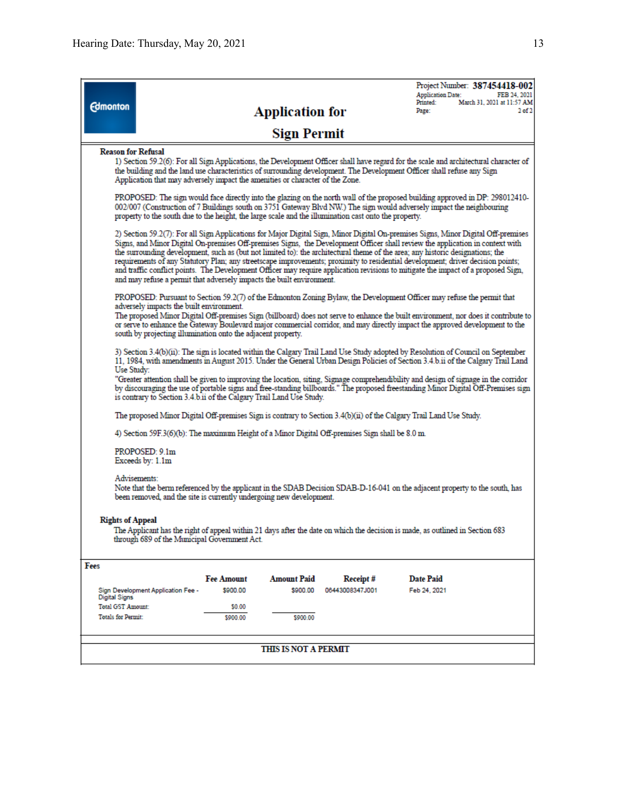| <b>Edmonton</b>                                                                                                                                                                                                                                                                                                                                                                                                                                                                                                                                                 |                                                                                                                                                                                                                                                                                                                                                                                                                                                                                                                                                                                                                                                                                                                                                       | <b>Application for</b>                     |                             | Project Number: 387454418-002<br><b>Application Date:</b><br>Printed:<br>Page:                                                                                                                                                                         | FEB 24, 2021<br>March 31, 2021 at 11:57 AM<br>2 <sub>of</sub> 2 |  |  |  |
|-----------------------------------------------------------------------------------------------------------------------------------------------------------------------------------------------------------------------------------------------------------------------------------------------------------------------------------------------------------------------------------------------------------------------------------------------------------------------------------------------------------------------------------------------------------------|-------------------------------------------------------------------------------------------------------------------------------------------------------------------------------------------------------------------------------------------------------------------------------------------------------------------------------------------------------------------------------------------------------------------------------------------------------------------------------------------------------------------------------------------------------------------------------------------------------------------------------------------------------------------------------------------------------------------------------------------------------|--------------------------------------------|-----------------------------|--------------------------------------------------------------------------------------------------------------------------------------------------------------------------------------------------------------------------------------------------------|-----------------------------------------------------------------|--|--|--|
|                                                                                                                                                                                                                                                                                                                                                                                                                                                                                                                                                                 |                                                                                                                                                                                                                                                                                                                                                                                                                                                                                                                                                                                                                                                                                                                                                       | <b>Sign Permit</b>                         |                             |                                                                                                                                                                                                                                                        |                                                                 |  |  |  |
| <b>Reason for Refusal</b>                                                                                                                                                                                                                                                                                                                                                                                                                                                                                                                                       | 1) Section 59.2(6): For all Sign Applications, the Development Officer shall have regard for the scale and architectural character of<br>the building and the land use characteristics of surrounding development. The Development Officer shall refuse any Sign<br>Application that may adversely impact the amenities or character of the Zone.                                                                                                                                                                                                                                                                                                                                                                                                     |                                            |                             |                                                                                                                                                                                                                                                        |                                                                 |  |  |  |
| property to the south due to the height, the large scale and the illumination cast onto the property.                                                                                                                                                                                                                                                                                                                                                                                                                                                           |                                                                                                                                                                                                                                                                                                                                                                                                                                                                                                                                                                                                                                                                                                                                                       |                                            |                             | PROPOSED: The sign would face directly into the glazing on the north wall of the proposed building approved in DP: 298012410-<br>002/007 (Construction of 7 Buildings south on 3751 Gateway Blvd NW.) The sign would adversely impact the neighbouring |                                                                 |  |  |  |
|                                                                                                                                                                                                                                                                                                                                                                                                                                                                                                                                                                 | 2) Section 59.2(7): For all Sign Applications for Major Digital Sign, Minor Digital On-premises Signs, Minor Digital Off-premises<br>Signs, and Minor Digital On-premises Off-premises Signs, the Development Officer shall review the application in context with<br>the surrounding development, such as (but not limited to): the architectural theme of the area; any historic designations; the<br>requirements of any Statutory Plan; any streetscape improvements; proximity to residential development; driver decision points;<br>and traffic conflict points. The Development Officer may require application revisions to mitigate the impact of a proposed Sign,<br>and may refuse a permit that adversely impacts the built environment. |                                            |                             |                                                                                                                                                                                                                                                        |                                                                 |  |  |  |
|                                                                                                                                                                                                                                                                                                                                                                                                                                                                                                                                                                 | PROPOSED: Pursuant to Section 59.2(7) of the Edmonton Zoning Bylaw, the Development Officer may refuse the permit that<br>adversely impacts the built environment.<br>The proposed Minor Digital Off-premises Sign (billboard) does not serve to enhance the built environment, nor does it contribute to<br>or serve to enhance the Gateway Boulevard major commercial corridor, and may directly impact the approved development to the<br>south by projecting illumination onto the adjacent property.                                                                                                                                                                                                                                             |                                            |                             |                                                                                                                                                                                                                                                        |                                                                 |  |  |  |
| 3) Section 3.4(b)(ii): The sign is located within the Calgary Trail Land Use Study adopted by Resolution of Council on September<br>11, 1984, with amendments in August 2015. Under the General Urban Design Policies of Section 3.4.b.ii of the Calgary Trail Land<br>Use Study:<br>"Greater attention shall be given to improving the location, siting, Signage comprehendibility and design of signage in the corridor<br>by discouraging the use of portable signs and free-standing billboards." The proposed freestanding Minor Digital Off-Premises sign |                                                                                                                                                                                                                                                                                                                                                                                                                                                                                                                                                                                                                                                                                                                                                       |                                            |                             |                                                                                                                                                                                                                                                        |                                                                 |  |  |  |
| is contrary to Section 3.4.b.ii of the Calgary Trail Land Use Study.<br>The proposed Minor Digital Off-premises Sign is contrary to Section 3.4(b)(ii) of the Calgary Trail Land Use Study.                                                                                                                                                                                                                                                                                                                                                                     |                                                                                                                                                                                                                                                                                                                                                                                                                                                                                                                                                                                                                                                                                                                                                       |                                            |                             |                                                                                                                                                                                                                                                        |                                                                 |  |  |  |
|                                                                                                                                                                                                                                                                                                                                                                                                                                                                                                                                                                 | 4) Section 59F.3(6)(b): The maximum Height of a Minor Digital Off-premises Sign shall be 8.0 m.                                                                                                                                                                                                                                                                                                                                                                                                                                                                                                                                                                                                                                                       |                                            |                             |                                                                                                                                                                                                                                                        |                                                                 |  |  |  |
| PROPOSED: 9.1m<br>Exceeds by: 1.1m                                                                                                                                                                                                                                                                                                                                                                                                                                                                                                                              |                                                                                                                                                                                                                                                                                                                                                                                                                                                                                                                                                                                                                                                                                                                                                       |                                            |                             |                                                                                                                                                                                                                                                        |                                                                 |  |  |  |
| Advisements:<br>Note that the berm referenced by the applicant in the SDAB Decision SDAB-D-16-041 on the adjacent property to the south, has<br>been removed, and the site is currently undergoing new development.                                                                                                                                                                                                                                                                                                                                             |                                                                                                                                                                                                                                                                                                                                                                                                                                                                                                                                                                                                                                                                                                                                                       |                                            |                             |                                                                                                                                                                                                                                                        |                                                                 |  |  |  |
| <b>Rights of Appeal</b><br>The Applicant has the right of appeal within 21 days after the date on which the decision is made, as outlined in Section 683<br>through 689 of the Municipal Government Act.                                                                                                                                                                                                                                                                                                                                                        |                                                                                                                                                                                                                                                                                                                                                                                                                                                                                                                                                                                                                                                                                                                                                       |                                            |                             |                                                                                                                                                                                                                                                        |                                                                 |  |  |  |
| Fees                                                                                                                                                                                                                                                                                                                                                                                                                                                                                                                                                            |                                                                                                                                                                                                                                                                                                                                                                                                                                                                                                                                                                                                                                                                                                                                                       |                                            |                             |                                                                                                                                                                                                                                                        |                                                                 |  |  |  |
| Sign Development Application Fee -<br><b>Digital Signs</b><br><b>Total GST Amount:</b><br><b>Totals for Permit:</b>                                                                                                                                                                                                                                                                                                                                                                                                                                             | <b>Fee Amount</b><br>\$900.00<br>\$0.00<br>\$900.00                                                                                                                                                                                                                                                                                                                                                                                                                                                                                                                                                                                                                                                                                                   | <b>Amount Paid</b><br>\$900.00<br>\$900.00 | Receipt#<br>06443008347J001 | <b>Date Paid</b><br>Feb 24, 2021                                                                                                                                                                                                                       |                                                                 |  |  |  |
|                                                                                                                                                                                                                                                                                                                                                                                                                                                                                                                                                                 |                                                                                                                                                                                                                                                                                                                                                                                                                                                                                                                                                                                                                                                                                                                                                       | <b>THIS IS NOT A PERMIT</b>                |                             |                                                                                                                                                                                                                                                        |                                                                 |  |  |  |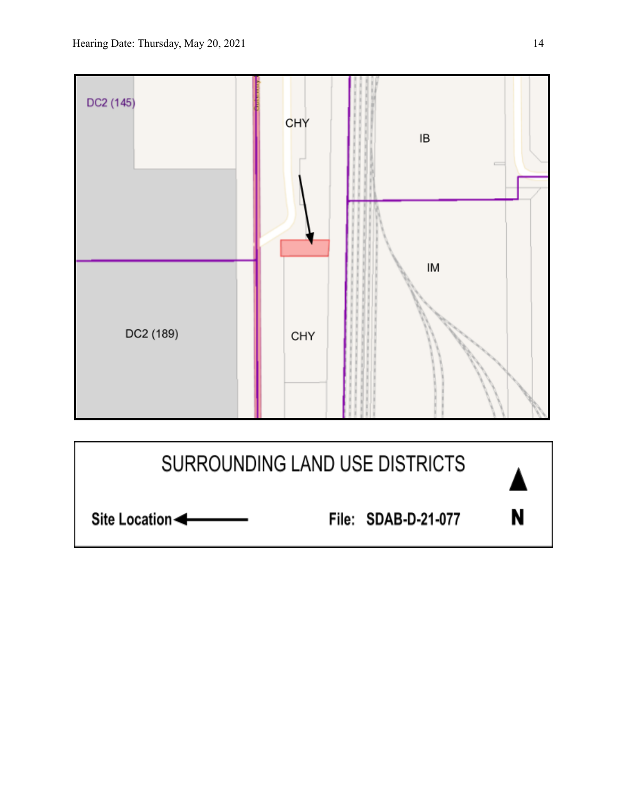

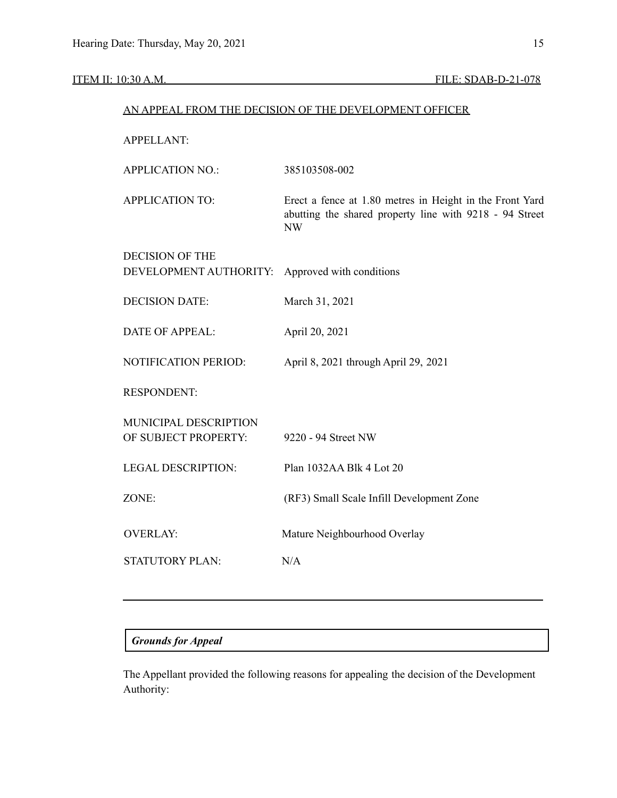## ITEM II: 10:30 A.M. FILE: SDAB-D-21-078

| AN APPEAL FROM THE DECISION OF THE DEVELOPMENT OFFICER |                                                                                                                                  |  |  |  |
|--------------------------------------------------------|----------------------------------------------------------------------------------------------------------------------------------|--|--|--|
| <b>APPELLANT:</b>                                      |                                                                                                                                  |  |  |  |
| <b>APPLICATION NO.:</b>                                | 385103508-002                                                                                                                    |  |  |  |
| <b>APPLICATION TO:</b>                                 | Erect a fence at 1.80 metres in Height in the Front Yard<br>abutting the shared property line with 9218 - 94 Street<br><b>NW</b> |  |  |  |
| <b>DECISION OF THE</b><br>DEVELOPMENT AUTHORITY:       | Approved with conditions                                                                                                         |  |  |  |
| <b>DECISION DATE:</b>                                  | March 31, 2021                                                                                                                   |  |  |  |
| <b>DATE OF APPEAL:</b>                                 | April 20, 2021                                                                                                                   |  |  |  |
| NOTIFICATION PERIOD:                                   | April 8, 2021 through April 29, 2021                                                                                             |  |  |  |
| <b>RESPONDENT:</b>                                     |                                                                                                                                  |  |  |  |
| MUNICIPAL DESCRIPTION<br>OF SUBJECT PROPERTY:          | 9220 - 94 Street NW                                                                                                              |  |  |  |
| <b>LEGAL DESCRIPTION:</b>                              | Plan 1032AA Blk 4 Lot 20                                                                                                         |  |  |  |
| ZONE:                                                  | (RF3) Small Scale Infill Development Zone                                                                                        |  |  |  |
| <b>OVERLAY:</b>                                        | Mature Neighbourhood Overlay                                                                                                     |  |  |  |
| <b>STATUTORY PLAN:</b>                                 | N/A                                                                                                                              |  |  |  |
|                                                        |                                                                                                                                  |  |  |  |

# *Grounds for Appeal*

The Appellant provided the following reasons for appealing the decision of the Development Authority: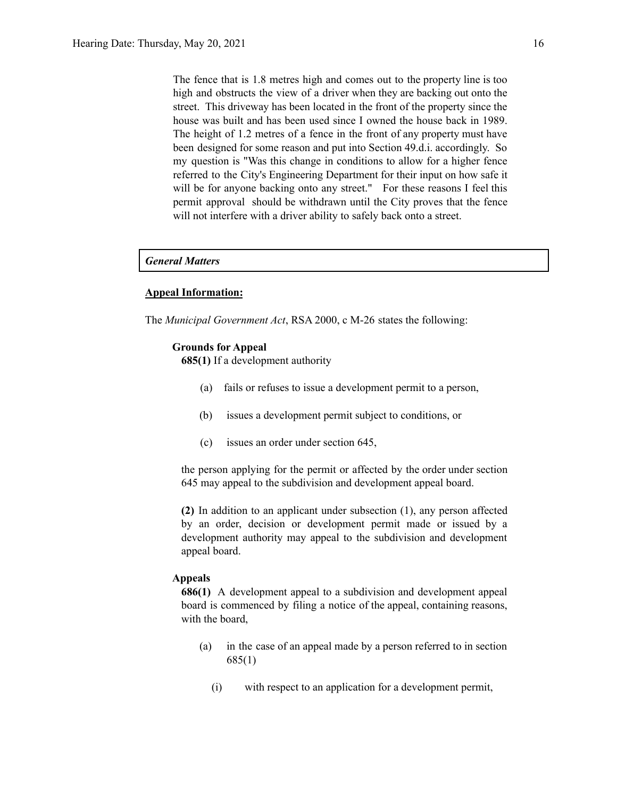The fence that is 1.8 metres high and comes out to the property line is too high and obstructs the view of a driver when they are backing out onto the street. This driveway has been located in the front of the property since the house was built and has been used since I owned the house back in 1989. The height of 1.2 metres of a fence in the front of any property must have been designed for some reason and put into Section 49.d.i. accordingly. So my question is "Was this change in conditions to allow for a higher fence referred to the City's Engineering Department for their input on how safe it will be for anyone backing onto any street." For these reasons I feel this permit approval should be withdrawn until the City proves that the fence will not interfere with a driver ability to safely back onto a street.

#### *General Matters*

#### **Appeal Information:**

The *Municipal Government Act*, RSA 2000, c M-26 states the following:

#### **Grounds for Appeal**

**685(1)** If a development authority

- (a) fails or refuses to issue a development permit to a person,
- (b) issues a development permit subject to conditions, or
- (c) issues an order under section 645,

the person applying for the permit or affected by the order under section 645 may appeal to the subdivision and development appeal board.

**(2)** In addition to an applicant under subsection (1), any person affected by an order, decision or development permit made or issued by a development authority may appeal to the subdivision and development appeal board.

#### **Appeals**

**686(1)** A development appeal to a subdivision and development appeal board is commenced by filing a notice of the appeal, containing reasons, with the board,

- (a) in the case of an appeal made by a person referred to in section 685(1)
	- (i) with respect to an application for a development permit,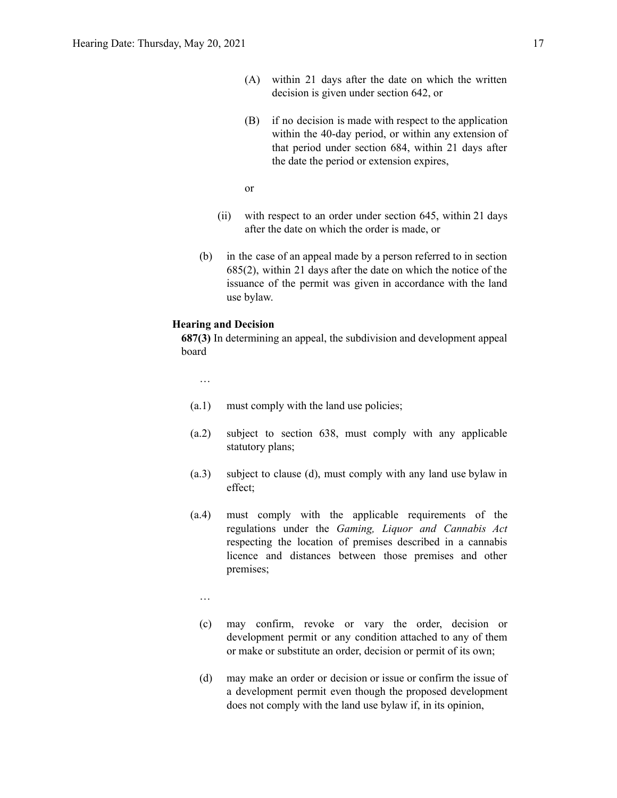- (A) within 21 days after the date on which the written decision is given under section 642, or
- (B) if no decision is made with respect to the application within the 40-day period, or within any extension of that period under section 684, within 21 days after the date the period or extension expires,

or

- (ii) with respect to an order under section 645, within 21 days after the date on which the order is made, or
- (b) in the case of an appeal made by a person referred to in section 685(2), within 21 days after the date on which the notice of the issuance of the permit was given in accordance with the land use bylaw.

#### **Hearing and Decision**

**687(3)** In determining an appeal, the subdivision and development appeal board

…

- (a.1) must comply with the land use policies;
- (a.2) subject to section 638, must comply with any applicable statutory plans;
- (a.3) subject to clause (d), must comply with any land use bylaw in effect;
- (a.4) must comply with the applicable requirements of the regulations under the *Gaming, Liquor and Cannabis Act* respecting the location of premises described in a cannabis licence and distances between those premises and other premises;

…

- (c) may confirm, revoke or vary the order, decision or development permit or any condition attached to any of them or make or substitute an order, decision or permit of its own;
- (d) may make an order or decision or issue or confirm the issue of a development permit even though the proposed development does not comply with the land use bylaw if, in its opinion,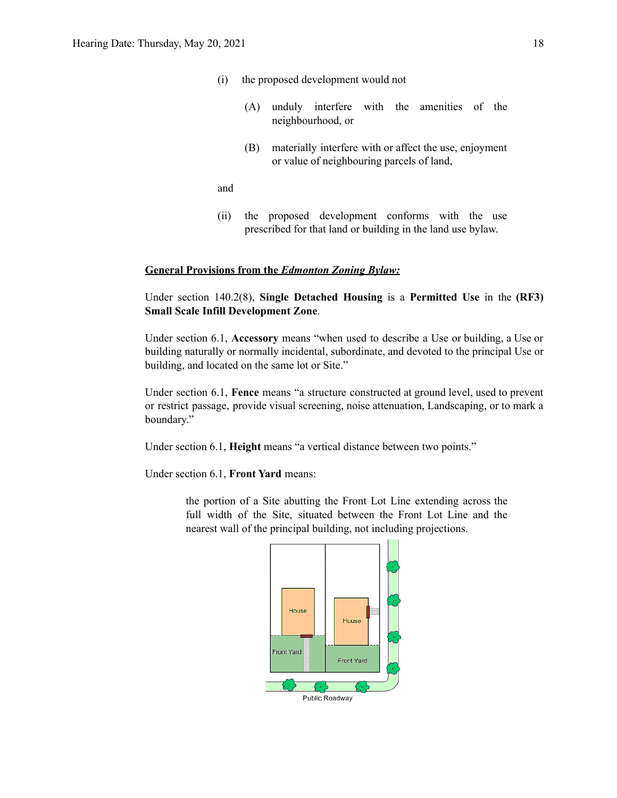- (i) the proposed development would not
	- (A) unduly interfere with the amenities of the neighbourhood, or
	- (B) materially interfere with or affect the use, enjoyment or value of neighbouring parcels of land,

and

(ii) the proposed development conforms with the use prescribed for that land or building in the land use bylaw.

#### **General Provisions from the** *Edmonton Zoning Bylaw:*

Under section 140.2(8), **Single Detached Housing** is a **Permitted Use** in the **(RF3) Small Scale Infill Development Zone**.

Under section 6.1, **Accessory** means "when used to describe a Use or building, a Use or building naturally or normally incidental, subordinate, and devoted to the principal Use or building, and located on the same lot or Site."

Under section 6.1, **Fence** means "a structure constructed at ground level, used to prevent or restrict passage, provide visual screening, noise attenuation, Landscaping, or to mark a boundary."

Under section 6.1, **Height** means "a vertical distance between two points."

Under section 6.1, **Front Yard** means:

the portion of a Site abutting the Front Lot Line extending across the full width of the Site, situated between the Front Lot Line and the nearest wall of the principal building, not including projections.



Public Roadway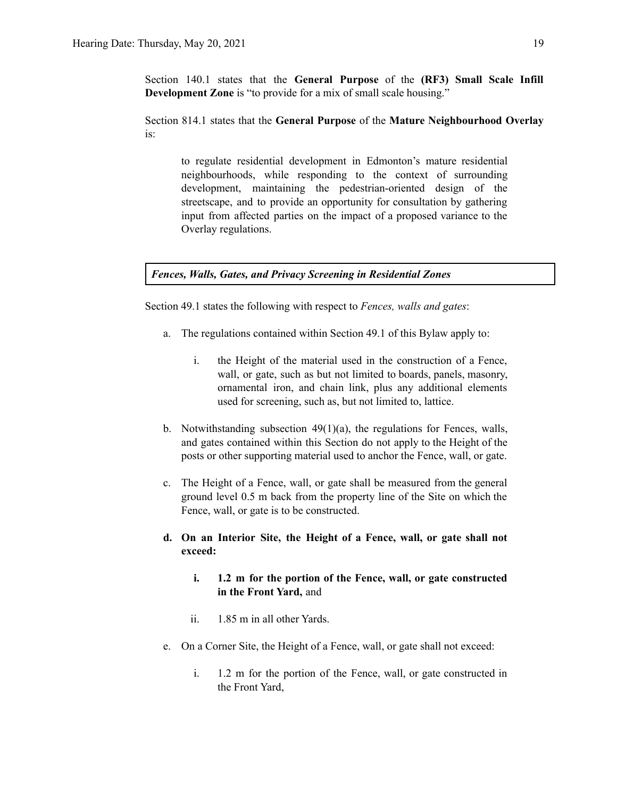Section 140.1 states that the **General Purpose** of the **(RF3) Small Scale Infill Development Zone** is "to provide for a mix of small scale housing."

Section 814.1 states that the **General Purpose** of the **Mature Neighbourhood Overlay** is:

to regulate residential development in Edmonton's mature residential neighbourhoods, while responding to the context of surrounding development, maintaining the pedestrian-oriented design of the streetscape, and to provide an opportunity for consultation by gathering input from affected parties on the impact of a proposed variance to the Overlay regulations.

*Fences, Walls, Gates, and Privacy Screening in Residential Zones*

Section 49.1 states the following with respect to *Fences, walls and gates*:

- a. The regulations contained within Section 49.1 of this Bylaw apply to:
	- i. the Height of the material used in the construction of a Fence, wall, or gate, such as but not limited to boards, panels, masonry, ornamental iron, and chain link, plus any additional elements used for screening, such as, but not limited to, lattice.
- b. Notwithstanding subsection 49(1)(a), the regulations for Fences, walls, and gates contained within this Section do not apply to the Height of the posts or other supporting material used to anchor the Fence, wall, or gate.
- c. The Height of a Fence, wall, or gate shall be measured from the general ground level 0.5 m back from the property line of the Site on which the Fence, wall, or gate is to be constructed.
- **d. On an Interior Site, the Height of a Fence, wall, or gate shall not exceed:**
	- **i. 1.2 m for the portion of the Fence, wall, or gate constructed in the Front Yard,** and
	- ii. 1.85 m in all other Yards.
- e. On a Corner Site, the Height of a Fence, wall, or gate shall not exceed:
	- i. 1.2 m for the portion of the Fence, wall, or gate constructed in the Front Yard,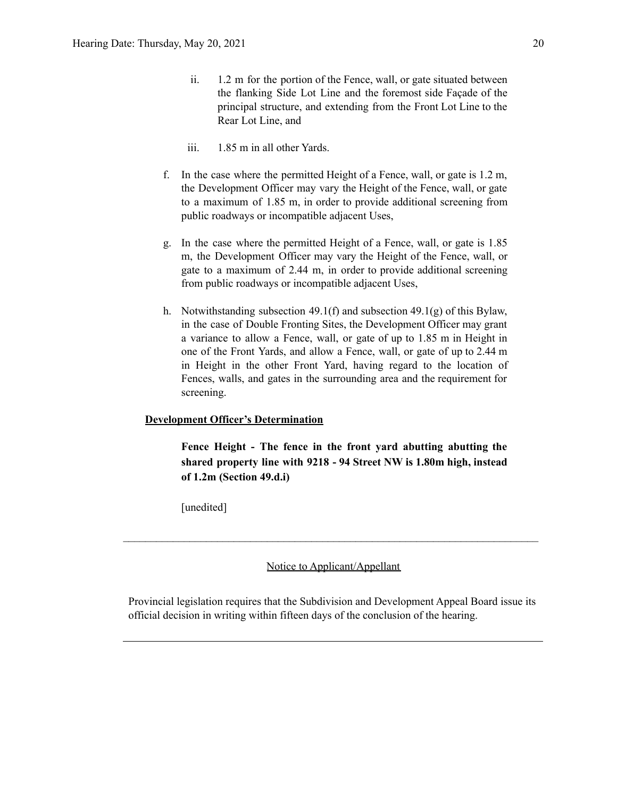- ii. 1.2 m for the portion of the Fence, wall, or gate situated between the flanking Side Lot Line and the foremost side Façade of the principal structure, and extending from the Front Lot Line to the Rear Lot Line, and
- iii. 1.85 m in all other Yards.
- f. In the case where the permitted Height of a Fence, wall, or gate is 1.2 m, the Development Officer may vary the Height of the Fence, wall, or gate to a maximum of 1.85 m, in order to provide additional screening from public roadways or incompatible adjacent Uses,
- g. In the case where the permitted Height of a Fence, wall, or gate is 1.85 m, the Development Officer may vary the Height of the Fence, wall, or gate to a maximum of 2.44 m, in order to provide additional screening from public roadways or incompatible adjacent Uses,
- h. Notwithstanding subsection 49.1(f) and subsection 49.1(g) of this Bylaw, in the case of Double Fronting Sites, the Development Officer may grant a variance to allow a Fence, wall, or gate of up to 1.85 m in Height in one of the Front Yards, and allow a Fence, wall, or gate of up to 2.44 m in Height in the other Front Yard, having regard to the location of Fences, walls, and gates in the surrounding area and the requirement for screening.

#### **Development Officer's Determination**

**Fence Height - The fence in the front yard abutting abutting the shared property line with 9218 - 94 Street NW is 1.80m high, instead of 1.2m (Section 49.d.i)**

[unedited]

Notice to Applicant/Appellant

 $\mathcal{L}_\text{max} = \frac{1}{2} \sum_{i=1}^n \mathcal{L}_\text{max} = \frac{1}{2} \sum_{i=1}^n \mathcal{L}_\text{max} = \frac{1}{2} \sum_{i=1}^n \mathcal{L}_\text{max} = \frac{1}{2} \sum_{i=1}^n \mathcal{L}_\text{max} = \frac{1}{2} \sum_{i=1}^n \mathcal{L}_\text{max} = \frac{1}{2} \sum_{i=1}^n \mathcal{L}_\text{max} = \frac{1}{2} \sum_{i=1}^n \mathcal{L}_\text{max} = \frac{1}{2} \sum_{i=$ 

Provincial legislation requires that the Subdivision and Development Appeal Board issue its official decision in writing within fifteen days of the conclusion of the hearing.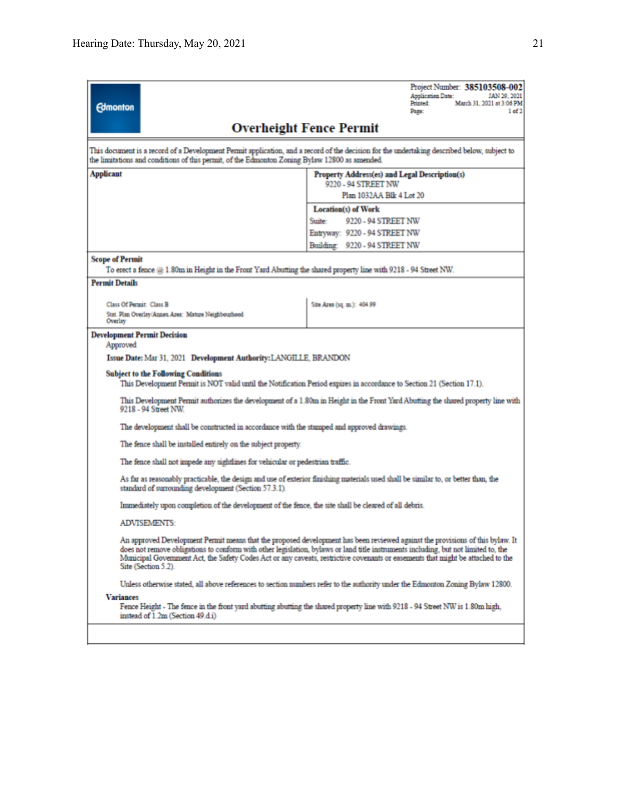| <b>Edmonton</b>                                                                                                                                                                      | Project Number: 385103508-002<br><b>Application Date:</b><br>JAN 29, 2021<br>Printed:<br>March 31, 2021 at 3:06 PM<br>1 <sub>of</sub> 2<br>Page:                                                                                                                                                                                                                                                       |  |  |  |  |
|--------------------------------------------------------------------------------------------------------------------------------------------------------------------------------------|--------------------------------------------------------------------------------------------------------------------------------------------------------------------------------------------------------------------------------------------------------------------------------------------------------------------------------------------------------------------------------------------------------|--|--|--|--|
|                                                                                                                                                                                      | <b>Overheight Fence Permit</b>                                                                                                                                                                                                                                                                                                                                                                         |  |  |  |  |
| the limitations and conditions of this permit, of the Edmonton Zoning Bylaw 12800 as amended.                                                                                        | This document is a record of a Development Permit application, and a record of the decision for the undertaking described below, subject to                                                                                                                                                                                                                                                            |  |  |  |  |
| <b>Applicant</b>                                                                                                                                                                     | Property Address(es) and Legal Description(s)                                                                                                                                                                                                                                                                                                                                                          |  |  |  |  |
|                                                                                                                                                                                      | 9220 - 94 STREET NW                                                                                                                                                                                                                                                                                                                                                                                    |  |  |  |  |
|                                                                                                                                                                                      | Plan 1032AA Blk 4 Lot 20                                                                                                                                                                                                                                                                                                                                                                               |  |  |  |  |
|                                                                                                                                                                                      | <b>Location(s)</b> of Work                                                                                                                                                                                                                                                                                                                                                                             |  |  |  |  |
|                                                                                                                                                                                      | 9220 - 94 STREET NW<br>Sunter:<br>Entryway: 9220 - 94 STREET NW                                                                                                                                                                                                                                                                                                                                        |  |  |  |  |
|                                                                                                                                                                                      | Building: 9220 - 94 STREET NW                                                                                                                                                                                                                                                                                                                                                                          |  |  |  |  |
|                                                                                                                                                                                      |                                                                                                                                                                                                                                                                                                                                                                                                        |  |  |  |  |
| <b>Scope of Permit</b><br>To erect a fence $@1.80m$ in Height in the Front Yard Abutting the shared property line with 9218 - 94 Street NW.                                          |                                                                                                                                                                                                                                                                                                                                                                                                        |  |  |  |  |
| <b>Permit Details</b>                                                                                                                                                                |                                                                                                                                                                                                                                                                                                                                                                                                        |  |  |  |  |
|                                                                                                                                                                                      |                                                                                                                                                                                                                                                                                                                                                                                                        |  |  |  |  |
| Class Of Permit: Class B                                                                                                                                                             | Site Area (sq. m.): 404.99                                                                                                                                                                                                                                                                                                                                                                             |  |  |  |  |
| Stat. Plan Overlay/Annes Area: Mature Neighbourhood<br>Overlay                                                                                                                       |                                                                                                                                                                                                                                                                                                                                                                                                        |  |  |  |  |
| <b>Development Permit Decision</b>                                                                                                                                                   |                                                                                                                                                                                                                                                                                                                                                                                                        |  |  |  |  |
| Approved                                                                                                                                                                             |                                                                                                                                                                                                                                                                                                                                                                                                        |  |  |  |  |
| Issue Date: Mar 31, 2021 Development Authority: LANGILLE, BRANDON                                                                                                                    |                                                                                                                                                                                                                                                                                                                                                                                                        |  |  |  |  |
| <b>Subject to the Following Conditions</b>                                                                                                                                           |                                                                                                                                                                                                                                                                                                                                                                                                        |  |  |  |  |
|                                                                                                                                                                                      | This Development Permit is NOT valid until the Notification Period expires in accordance to Section 21 (Section 17.1).                                                                                                                                                                                                                                                                                 |  |  |  |  |
| 9218 - 94 Street NW.                                                                                                                                                                 | This Development Permit authorizes the development of a 1.80m in Height in the Front Yard Abutting the shared property line with                                                                                                                                                                                                                                                                       |  |  |  |  |
|                                                                                                                                                                                      | The development shall be constructed in accordance with the stamped and approved drawings.                                                                                                                                                                                                                                                                                                             |  |  |  |  |
|                                                                                                                                                                                      | The fence shall be installed entirely on the subject property.                                                                                                                                                                                                                                                                                                                                         |  |  |  |  |
| The fence shall not impede any sightlines for vehicular or pedestrian traffic.                                                                                                       |                                                                                                                                                                                                                                                                                                                                                                                                        |  |  |  |  |
| standard of surrounding development (Section 57.3.1).                                                                                                                                | As far as reasonably practicable, the design and use of exterior finishing materials used shall be similar to, or better than, the                                                                                                                                                                                                                                                                     |  |  |  |  |
|                                                                                                                                                                                      | Immediately upon completion of the development of the fence, the site shall be cleared of all debris.                                                                                                                                                                                                                                                                                                  |  |  |  |  |
| <b>ADVISEMENTS:</b>                                                                                                                                                                  |                                                                                                                                                                                                                                                                                                                                                                                                        |  |  |  |  |
| Site (Section 5.2).                                                                                                                                                                  | An approved Development Permit means that the proposed development has been reviewed against the provisions of this bylaw. It<br>does not remove obligations to conform with other legislation, bylaws or land title instruments including, but not limited to, the<br>Municipal Government Act, the Safety Codes Act or any caveats, restrictive covenants or easements that might be attached to the |  |  |  |  |
|                                                                                                                                                                                      | Unless otherwise stated, all above references to section numbers refer to the authority under the Edmonton Zoning Bylaw 12800.                                                                                                                                                                                                                                                                         |  |  |  |  |
| <b>Variances</b><br>Fence Height - The fence in the front yard abutting abutting the shared property line with 9218 - 94 Street NW is 1.80m high,<br>instead of 1.2m (Section 49.di) |                                                                                                                                                                                                                                                                                                                                                                                                        |  |  |  |  |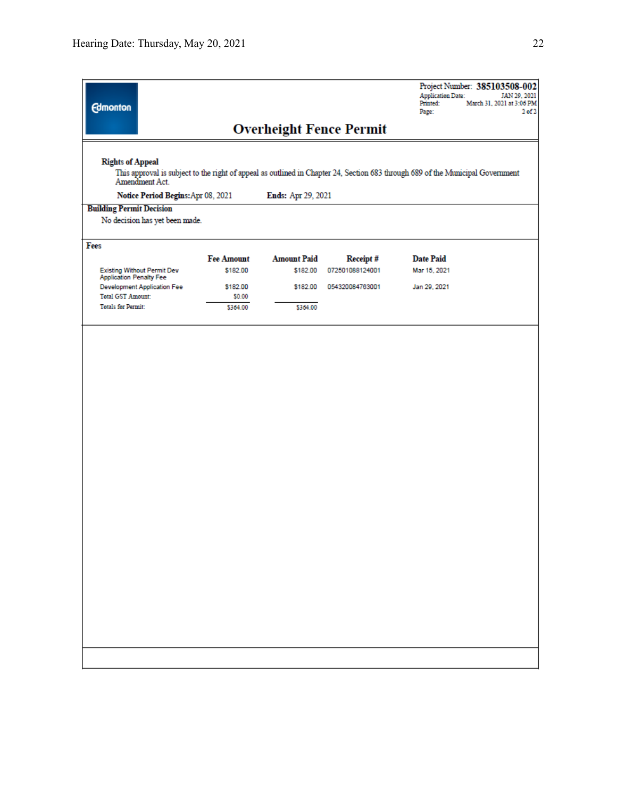| <b>Edmonton</b>                                                       |                    |                    |                                | Project Number: 385103508-002<br><b>Application Date:</b><br>JAN 29, 2021<br>Printed:<br>March 31, 2021 at 3:06 PM<br>Page:    | 2 <sub>0</sub> f <sub>2</sub> |
|-----------------------------------------------------------------------|--------------------|--------------------|--------------------------------|--------------------------------------------------------------------------------------------------------------------------------|-------------------------------|
|                                                                       |                    |                    | <b>Overheight Fence Permit</b> |                                                                                                                                |                               |
| <b>Rights of Appeal</b><br>Amendment Act.                             |                    |                    |                                | This approval is subject to the right of appeal as outlined in Chapter 24, Section 683 through 689 of the Municipal Government |                               |
| Notice Period Begins: Apr 08, 2021<br><b>Building Permit Decision</b> |                    | Ends: Apr 29, 2021 |                                |                                                                                                                                |                               |
| No decision has yet been made.                                        |                    |                    |                                |                                                                                                                                |                               |
| Fees                                                                  | <b>Fee Amount</b>  | <b>Amount Paid</b> | Receipt#                       | <b>Date Paid</b>                                                                                                               |                               |
| <b>Existing Without Permit Dev</b><br><b>Application Penalty Fee</b>  | \$182.00           | \$182.00           | 072501088124001                | Mar 15, 2021                                                                                                                   |                               |
| <b>Development Application Fee</b><br><b>Total GST Amount:</b>        | \$182.00<br>\$0.00 | \$182.00           | 054320084763001                | Jan 29, 2021                                                                                                                   |                               |
| <b>Totals for Permit:</b>                                             | \$364.00           | \$364.00           |                                |                                                                                                                                |                               |
|                                                                       |                    |                    |                                |                                                                                                                                |                               |